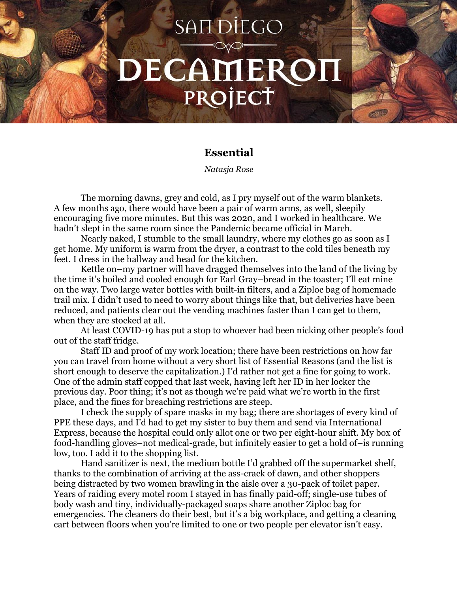## **SANDIEGO** DECAMEROI PROJECT

## **Essential**

*Natasja Rose*

The morning dawns, grey and cold, as I pry myself out of the warm blankets. A few months ago, there would have been a pair of warm arms, as well, sleepily encouraging five more minutes. But this was 2020, and I worked in healthcare. We hadn't slept in the same room since the Pandemic became official in March.

Nearly naked, I stumble to the small laundry, where my clothes go as soon as I get home. My uniform is warm from the dryer, a contrast to the cold tiles beneath my feet. I dress in the hallway and head for the kitchen.

Kettle on–my partner will have dragged themselves into the land of the living by the time it's boiled and cooled enough for Earl Gray–bread in the toaster; I'll eat mine on the way. Two large water bottles with built-in filters, and a Ziploc bag of homemade trail mix. I didn't used to need to worry about things like that, but deliveries have been reduced, and patients clear out the vending machines faster than I can get to them, when they are stocked at all.

At least COVID-19 has put a stop to whoever had been nicking other people's food out of the staff fridge.

Staff ID and proof of my work location; there have been restrictions on how far you can travel from home without a very short list of Essential Reasons (and the list is short enough to deserve the capitalization.) I'd rather not get a fine for going to work. One of the admin staff copped that last week, having left her ID in her locker the previous day. Poor thing; it's not as though we're paid what we're worth in the first place, and the fines for breaching restrictions are steep.

I check the supply of spare masks in my bag; there are shortages of every kind of PPE these days, and I'd had to get my sister to buy them and send via International Express, because the hospital could only allot one or two per eight-hour shift. My box of food-handling gloves–not medical-grade, but infinitely easier to get a hold of–is running low, too. I add it to the shopping list.

Hand sanitizer is next, the medium bottle I'd grabbed off the supermarket shelf, thanks to the combination of arriving at the ass-crack of dawn, and other shoppers being distracted by two women brawling in the aisle over a 30-pack of toilet paper. Years of raiding every motel room I stayed in has finally paid-off; single-use tubes of body wash and tiny, individually-packaged soaps share another Ziploc bag for emergencies. The cleaners do their best, but it's a big workplace, and getting a cleaning cart between floors when you're limited to one or two people per elevator isn't easy.